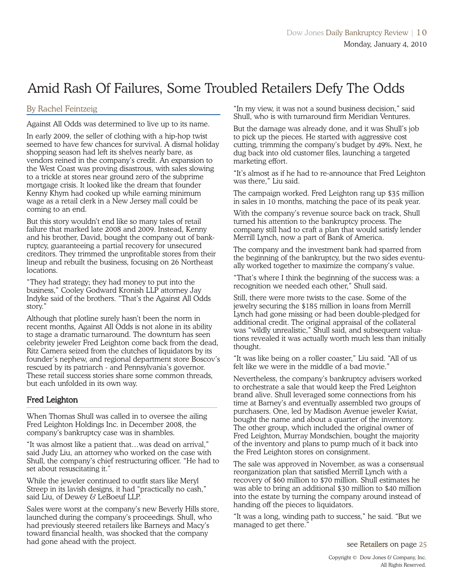# Amid Rash Of Failures, Some Troubled Retailers Defy The Odds

### By Rachel Feintzeig

Against All Odds was determined to live up to its name.

In early 2009, the seller of clothing with a hip-hop twist seemed to have few chances for survival. A dismal holiday shopping season had left its shelves nearly bare, as vendors reined in the company's credit. An expansion to the West Coast was proving disastrous, with sales slowing to a trickle at stores near ground zero of the subprime mortgage crisis. It looked like the dream that founder Kenny Khym had cooked up while earning minimum wage as a retail clerk in a New Jersey mall could be coming to an end.

But this story wouldn't end like so many tales of retail failure that marked late 2008 and 2009. Instead, Kenny and his brother, David, bought the company out of bankruptcy, guaranteeing a partial recovery for unsecured creditors. They trimmed the unprofitable stores from their lineup and rebuilt the business, focusing on 26 Northeast locations.

"They had strategy; they had money to put into the business," Cooley Godward Kronish LLP attorney Jay Indyke said of the brothers. "That's the Against All Odds story."

Although that plotline surely hasn't been the norm in recent months, Against All Odds is not alone in its ability to stage a dramatic turnaround. The downturn has seen celebrity jeweler Fred Leighton come back from the dead, Ritz Camera seized from the clutches of liquidators by its founder's nephew, and regional department store Boscov's rescued by its patriarch - and Pennsylvania's governor. These retail success stories share some common threads, but each unfolded in its own way.

### Fred Leighton

When Thomas Shull was called in to oversee the ailing Fred Leighton Holdings Inc. in December 2008, the company's bankruptcy case was in shambles.

"It was almost like a patient that…was dead on arrival," said Judy Liu, an attorney who worked on the case with Shull, the company's chief restructuring officer. "He had to set about resuscitating it."

While the jeweler continued to outfit stars like Meryl Streep in its lavish designs, it had "practically no cash," said Liu, of Dewey & LeBoeuf LLP.

Sales were worst at the company's new Beverly Hills store, launched during the company's proceedings. Shull, who had previously steered retailers like Barneys and Macy's toward financial health, was shocked that the company had gone ahead with the project.

"In my view, it was not a sound business decision," said Shull, who is with turnaround firm Meridian Ventures.

But the damage was already done, and it was Shull's job to pick up the pieces. He started with aggressive cost cutting, trimming the company's budget by 49%. Next, he dug back into old customer files, launching a targeted marketing effort.

"It's almost as if he had to re-announce that Fred Leighton was there," Liu said.

The campaign worked. Fred Leighton rang up \$35 million in sales in 10 months, matching the pace of its peak year.

With the company's revenue source back on track, Shull turned his attention to the bankruptcy process. The company still had to craft a plan that would satisfy lender Merrill Lynch, now a part of Bank of America.

The company and the investment bank had sparred from the beginning of the bankruptcy, but the two sides eventually worked together to maximize the company's value.

"That's where I think the beginning of the success was: a recognition we needed each other," Shull said.

Still, there were more twists to the case. Some of the jewelry securing the \$185 million in loans from Merrill Lynch had gone missing or had been double-pledged for additional credit. The original appraisal of the collateral was "wildly unrealistic," Shull said, and subsequent valuations revealed it was actually worth much less than initially thought.

"It was like being on a roller coaster," Liu said. "All of us felt like we were in the middle of a bad movie."

Nevertheless, the company's bankruptcy advisers worked to orchestrate a sale that would keep the Fred Leighton brand alive. Shull leveraged some connections from his time at Barney's and eventually assembled two groups of purchasers. One, led by Madison Avenue jeweler Kwiat, bought the name and about a quarter of the inventory. The other group, which included the original owner of Fred Leighton, Murray Mondschien, bought the majority of the inventory and plans to pump much of it back into the Fred Leighton stores on consignment.

The sale was approved in November, as was a consensual reorganization plan that satisfied Merrill Lynch with a recovery of \$60 million to \$70 million. Shull estimates he was able to bring an additional \$30 million to \$40 million into the estate by turning the company around instead of handing off the pieces to liquidators.

"It was a long, winding path to success," he said. "But we managed to get there."

see Retailers on page 25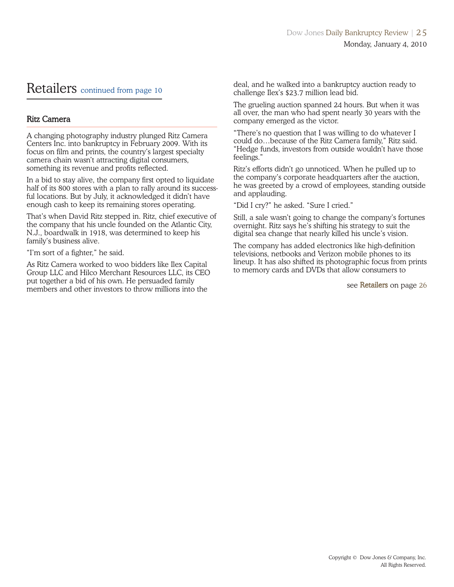### Retailers continued from page 10

### Ritz Camera

A changing photography industry plunged Ritz Camera Centers Inc. into bankruptcy in February 2009. With its focus on film and prints, the country's largest specialty camera chain wasn't attracting digital consumers, something its revenue and profits reflected.

In a bid to stay alive, the company first opted to liquidate half of its 800 stores with a plan to rally around its successful locations. But by July, it acknowledged it didn't have enough cash to keep its remaining stores operating.

That's when David Ritz stepped in. Ritz, chief executive of the company that his uncle founded on the Atlantic City, N.J., boardwalk in 1918, was determined to keep his family's business alive.

"I'm sort of a fighter," he said.

As Ritz Camera worked to woo bidders like Ilex Capital Group LLC and Hilco Merchant Resources LLC, its CEO put together a bid of his own. He persuaded family members and other investors to throw millions into the

deal, and he walked into a bankruptcy auction ready to challenge Ilex's \$23.7 million lead bid.

The grueling auction spanned 24 hours. But when it was all over, the man who had spent nearly 30 years with the company emerged as the victor.

"There's no question that I was willing to do whatever I could do…because of the Ritz Camera family," Ritz said. "Hedge funds, investors from outside wouldn't have those feelings."

Ritz's efforts didn't go unnoticed. When he pulled up to the company's corporate headquarters after the auction, he was greeted by a crowd of employees, standing outside and applauding.

"Did I cry?" he asked. "Sure I cried."

Still, a sale wasn't going to change the company's fortunes overnight. Ritz says he's shifting his strategy to suit the digital sea change that nearly killed his uncle's vision.

The company has added electronics like high-definition televisions, netbooks and Verizon mobile phones to its lineup. It has also shifted its photographic focus from prints to memory cards and DVDs that allow consumers to

see Retailers on page 26